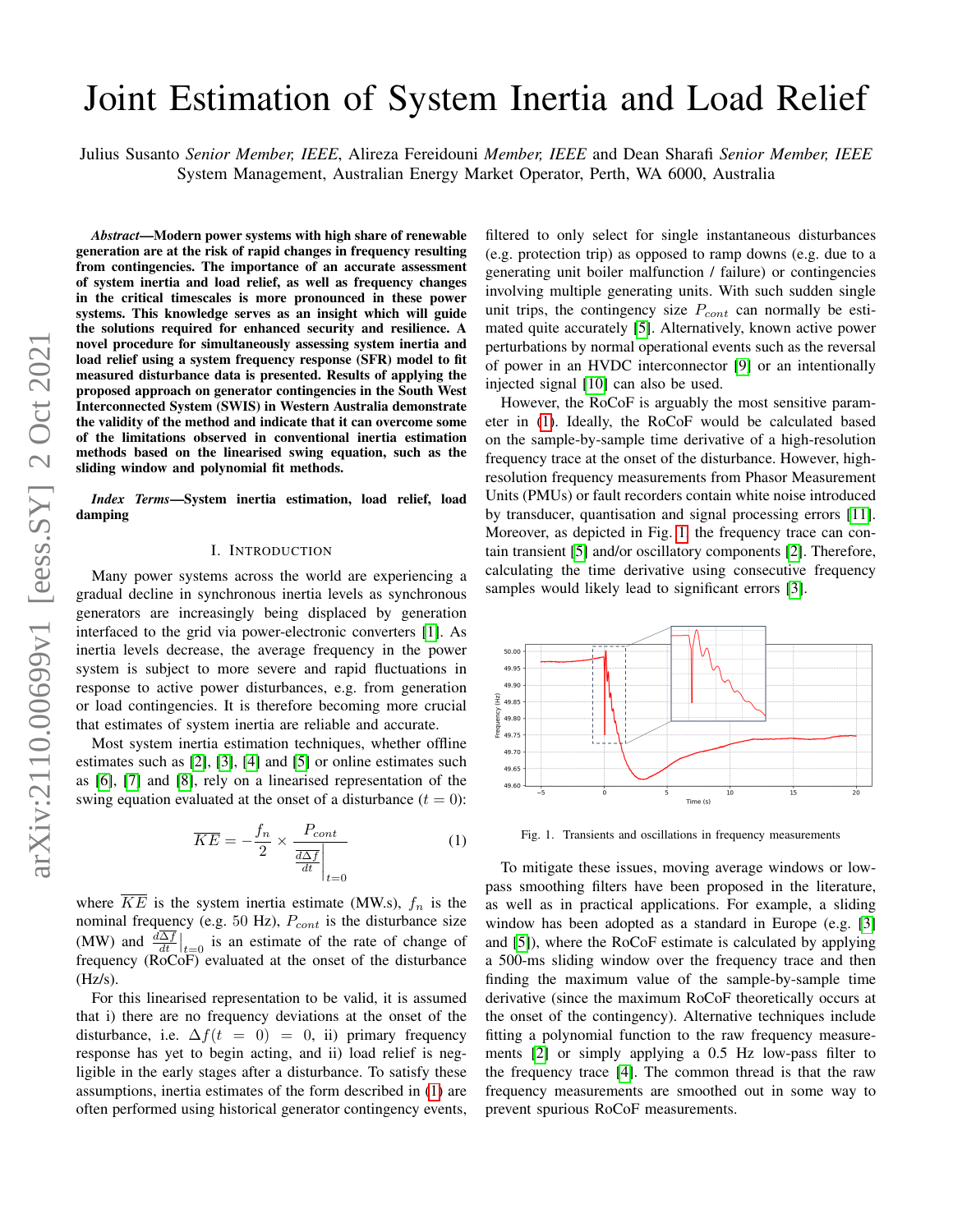# Joint Estimation of System Inertia and Load Relief

Julius Susanto *Senior Member, IEEE*, Alireza Fereidouni *Member, IEEE* and Dean Sharafi *Senior Member, IEEE* System Management, Australian Energy Market Operator, Perth, WA 6000, Australia

*Abstract*—Modern power systems with high share of renewable generation are at the risk of rapid changes in frequency resulting from contingencies. The importance of an accurate assessment of system inertia and load relief, as well as frequency changes in the critical timescales is more pronounced in these power systems. This knowledge serves as an insight which will guide the solutions required for enhanced security and resilience. A novel procedure for simultaneously assessing system inertia and load relief using a system frequency response (SFR) model to fit measured disturbance data is presented. Results of applying the proposed approach on generator contingencies in the South West Interconnected System (SWIS) in Western Australia demonstrate the validity of the method and indicate that it can overcome some of the limitations observed in conventional inertia estimation methods based on the linearised swing equation, such as the sliding window and polynomial fit methods.

*Index Terms*—System inertia estimation, load relief, load damping

#### I. INTRODUCTION

Many power systems across the world are experiencing a gradual decline in synchronous inertia levels as synchronous generators are increasingly being displaced by generation interfaced to the grid via power-electronic converters [\[1\]](#page-6-0). As inertia levels decrease, the average frequency in the power system is subject to more severe and rapid fluctuations in response to active power disturbances, e.g. from generation or load contingencies. It is therefore becoming more crucial that estimates of system inertia are reliable and accurate.

Most system inertia estimation techniques, whether offline estimates such as [\[2\]](#page-6-1), [\[3\]](#page-6-2), [\[4\]](#page-7-0) and [\[5\]](#page-7-1) or online estimates such as [\[6\]](#page-7-2), [\[7\]](#page-7-3) and [\[8\]](#page-7-4), rely on a linearised representation of the swing equation evaluated at the onset of a disturbance  $(t = 0)$ :

<span id="page-0-0"></span>
$$
\overline{KE} = -\frac{f_n}{2} \times \frac{P_{cont}}{\frac{d\Delta f}{dt}\Big|_{t=0}}\tag{1}
$$

where  $\overline{KE}$  is the system inertia estimate (MW.s),  $f_n$  is the nominal frequency (e.g. 50 Hz),  $P_{cont}$  is the disturbance size (MW) and  $\frac{d\Delta f}{dt}\Big|_{t=0}$  is an estimate of the rate of change of frequency ( $\angle ROCOF$ ) evaluated at the onset of the disturbance  $(Hz/s).$ 

For this linearised representation to be valid, it is assumed that i) there are no frequency deviations at the onset of the disturbance, i.e.  $\Delta f(t = 0) = 0$ , ii) primary frequency response has yet to begin acting, and ii) load relief is negligible in the early stages after a disturbance. To satisfy these assumptions, inertia estimates of the form described in [\(1\)](#page-0-0) are often performed using historical generator contingency events, filtered to only select for single instantaneous disturbances (e.g. protection trip) as opposed to ramp downs (e.g. due to a generating unit boiler malfunction / failure) or contingencies involving multiple generating units. With such sudden single unit trips, the contingency size  $P_{cont}$  can normally be estimated quite accurately [\[5\]](#page-7-1). Alternatively, known active power perturbations by normal operational events such as the reversal of power in an HVDC interconnector [\[9\]](#page-7-5) or an intentionally injected signal [\[10\]](#page-7-6) can also be used.

However, the RoCoF is arguably the most sensitive parameter in [\(1\)](#page-0-0). Ideally, the RoCoF would be calculated based on the sample-by-sample time derivative of a high-resolution frequency trace at the onset of the disturbance. However, highresolution frequency measurements from Phasor Measurement Units (PMUs) or fault recorders contain white noise introduced by transducer, quantisation and signal processing errors [\[11\]](#page-7-7). Moreover, as depicted in Fig. [1,](#page-0-1) the frequency trace can contain transient [\[5\]](#page-7-1) and/or oscillatory components [\[2\]](#page-6-1). Therefore, calculating the time derivative using consecutive frequency samples would likely lead to significant errors [\[3\]](#page-6-2).



<span id="page-0-1"></span>Fig. 1. Transients and oscillations in frequency measurements

To mitigate these issues, moving average windows or lowpass smoothing filters have been proposed in the literature, as well as in practical applications. For example, a sliding window has been adopted as a standard in Europe (e.g. [\[3\]](#page-6-2) and [\[5\]](#page-7-1)), where the RoCoF estimate is calculated by applying a 500-ms sliding window over the frequency trace and then finding the maximum value of the sample-by-sample time derivative (since the maximum RoCoF theoretically occurs at the onset of the contingency). Alternative techniques include fitting a polynomial function to the raw frequency measurements [\[2\]](#page-6-1) or simply applying a 0.5 Hz low-pass filter to the frequency trace [\[4\]](#page-7-0). The common thread is that the raw frequency measurements are smoothed out in some way to prevent spurious RoCoF measurements.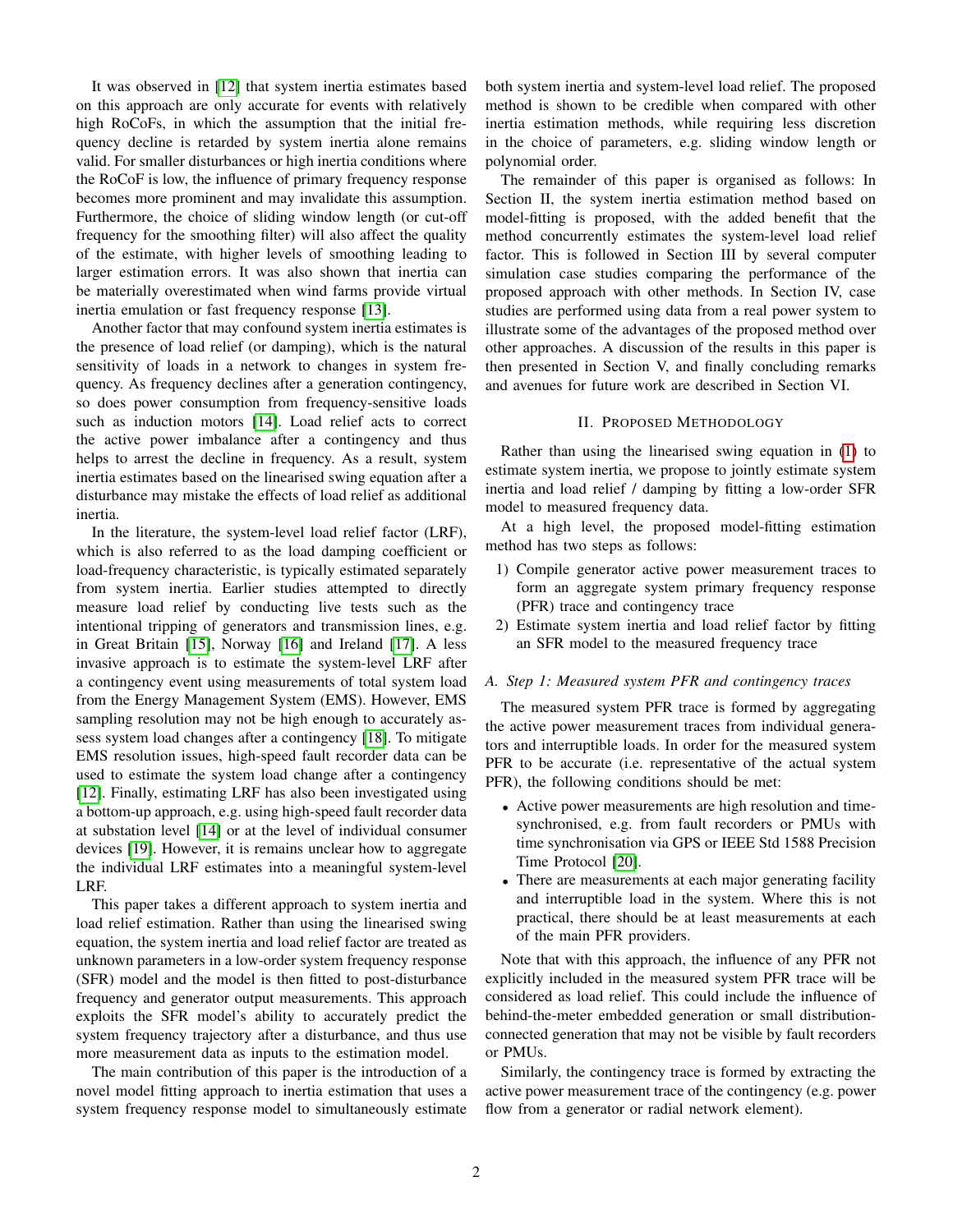It was observed in [\[12\]](#page-7-8) that system inertia estimates based on this approach are only accurate for events with relatively high RoCoFs, in which the assumption that the initial frequency decline is retarded by system inertia alone remains valid. For smaller disturbances or high inertia conditions where the RoCoF is low, the influence of primary frequency response becomes more prominent and may invalidate this assumption. Furthermore, the choice of sliding window length (or cut-off frequency for the smoothing filter) will also affect the quality of the estimate, with higher levels of smoothing leading to larger estimation errors. It was also shown that inertia can be materially overestimated when wind farms provide virtual inertia emulation or fast frequency response [\[13\]](#page-7-9).

Another factor that may confound system inertia estimates is the presence of load relief (or damping), which is the natural sensitivity of loads in a network to changes in system frequency. As frequency declines after a generation contingency, so does power consumption from frequency-sensitive loads such as induction motors [\[14\]](#page-7-10). Load relief acts to correct the active power imbalance after a contingency and thus helps to arrest the decline in frequency. As a result, system inertia estimates based on the linearised swing equation after a disturbance may mistake the effects of load relief as additional inertia.

In the literature, the system-level load relief factor (LRF), which is also referred to as the load damping coefficient or load-frequency characteristic, is typically estimated separately from system inertia. Earlier studies attempted to directly measure load relief by conducting live tests such as the intentional tripping of generators and transmission lines, e.g. in Great Britain [\[15\]](#page-7-11), Norway [\[16\]](#page-7-12) and Ireland [\[17\]](#page-7-13). A less invasive approach is to estimate the system-level LRF after a contingency event using measurements of total system load from the Energy Management System (EMS). However, EMS sampling resolution may not be high enough to accurately assess system load changes after a contingency [\[18\]](#page-7-14). To mitigate EMS resolution issues, high-speed fault recorder data can be used to estimate the system load change after a contingency [\[12\]](#page-7-8). Finally, estimating LRF has also been investigated using a bottom-up approach, e.g. using high-speed fault recorder data at substation level [\[14\]](#page-7-10) or at the level of individual consumer devices [\[19\]](#page-7-15). However, it is remains unclear how to aggregate the individual LRF estimates into a meaningful system-level LRF.

This paper takes a different approach to system inertia and load relief estimation. Rather than using the linearised swing equation, the system inertia and load relief factor are treated as unknown parameters in a low-order system frequency response (SFR) model and the model is then fitted to post-disturbance frequency and generator output measurements. This approach exploits the SFR model's ability to accurately predict the system frequency trajectory after a disturbance, and thus use more measurement data as inputs to the estimation model.

The main contribution of this paper is the introduction of a novel model fitting approach to inertia estimation that uses a system frequency response model to simultaneously estimate both system inertia and system-level load relief. The proposed method is shown to be credible when compared with other inertia estimation methods, while requiring less discretion in the choice of parameters, e.g. sliding window length or polynomial order.

The remainder of this paper is organised as follows: In Section II, the system inertia estimation method based on model-fitting is proposed, with the added benefit that the method concurrently estimates the system-level load relief factor. This is followed in Section III by several computer simulation case studies comparing the performance of the proposed approach with other methods. In Section IV, case studies are performed using data from a real power system to illustrate some of the advantages of the proposed method over other approaches. A discussion of the results in this paper is then presented in Section V, and finally concluding remarks and avenues for future work are described in Section VI.

## II. PROPOSED METHODOLOGY

Rather than using the linearised swing equation in [\(1\)](#page-0-0) to estimate system inertia, we propose to jointly estimate system inertia and load relief / damping by fitting a low-order SFR model to measured frequency data.

At a high level, the proposed model-fitting estimation method has two steps as follows:

- 1) Compile generator active power measurement traces to form an aggregate system primary frequency response (PFR) trace and contingency trace
- 2) Estimate system inertia and load relief factor by fitting an SFR model to the measured frequency trace

#### *A. Step 1: Measured system PFR and contingency traces*

The measured system PFR trace is formed by aggregating the active power measurement traces from individual generators and interruptible loads. In order for the measured system PFR to be accurate (i.e. representative of the actual system PFR), the following conditions should be met:

- Active power measurements are high resolution and timesynchronised, e.g. from fault recorders or PMUs with time synchronisation via GPS or IEEE Std 1588 Precision Time Protocol [\[20\]](#page-7-16).
- There are measurements at each major generating facility and interruptible load in the system. Where this is not practical, there should be at least measurements at each of the main PFR providers.

Note that with this approach, the influence of any PFR not explicitly included in the measured system PFR trace will be considered as load relief. This could include the influence of behind-the-meter embedded generation or small distributionconnected generation that may not be visible by fault recorders or PMUs.

Similarly, the contingency trace is formed by extracting the active power measurement trace of the contingency (e.g. power flow from a generator or radial network element).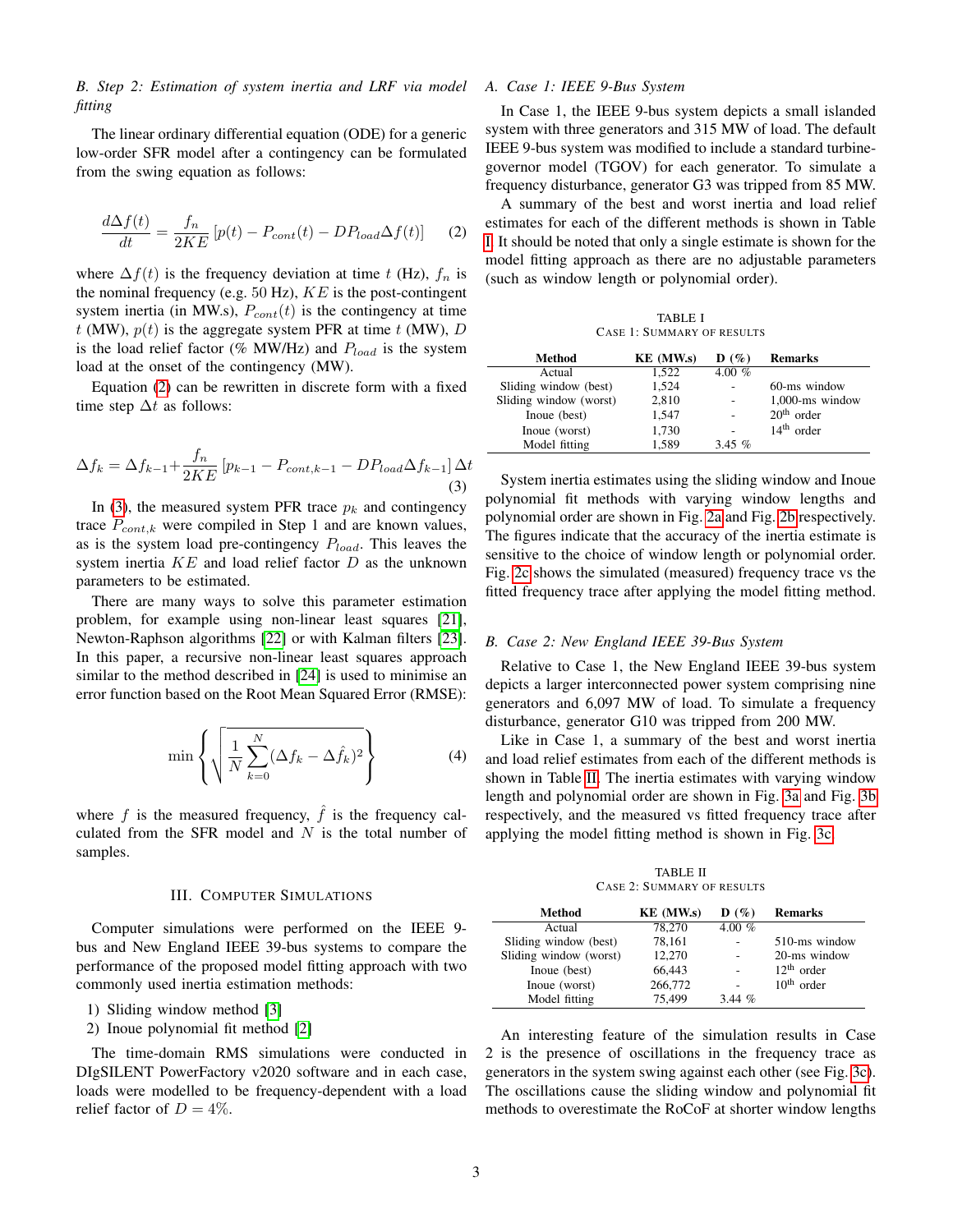*B. Step 2: Estimation of system inertia and LRF via model fitting*

The linear ordinary differential equation (ODE) for a generic low-order SFR model after a contingency can be formulated from the swing equation as follows:

<span id="page-2-0"></span>
$$
\frac{d\Delta f(t)}{dt} = \frac{f_n}{2KE} \left[ p(t) - P_{cont}(t) - DP_{load} \Delta f(t) \right]
$$
 (2)

where  $\Delta f(t)$  is the frequency deviation at time t (Hz),  $f_n$  is the nominal frequency (e.g.  $50$  Hz),  $KE$  is the post-contingent system inertia (in MW.s),  $P_{cont}(t)$  is the contingency at time t (MW),  $p(t)$  is the aggregate system PFR at time t (MW), D is the load relief factor (% MW/Hz) and  $P_{load}$  is the system load at the onset of the contingency (MW).

Equation [\(2\)](#page-2-0) can be rewritten in discrete form with a fixed time step  $\Delta t$  as follows:

<span id="page-2-1"></span>
$$
\Delta f_k = \Delta f_{k-1} + \frac{f_n}{2KE} \left[ p_{k-1} - P_{cont, k-1} - DP_{load} \Delta f_{k-1} \right] \Delta t \tag{3}
$$

In [\(3\)](#page-2-1), the measured system PFR trace  $p_k$  and contingency trace  $P_{cont,k}$  were compiled in Step 1 and are known values, as is the system load pre-contingency  $P_{load}$ . This leaves the system inertia  $KE$  and load relief factor  $D$  as the unknown parameters to be estimated.

There are many ways to solve this parameter estimation problem, for example using non-linear least squares [\[21\]](#page-7-17), Newton-Raphson algorithms [\[22\]](#page-7-18) or with Kalman filters [\[23\]](#page-7-19). In this paper, a recursive non-linear least squares approach similar to the method described in [\[24\]](#page-7-20) is used to minimise an error function based on the Root Mean Squared Error (RMSE):

$$
\min\left\{\sqrt{\frac{1}{N}\sum_{k=0}^{N}(\Delta f_k - \Delta \hat{f}_k)^2}\right\} \tag{4}
$$

where f is the measured frequency,  $\hat{f}$  is the frequency calculated from the SFR model and  $N$  is the total number of samples.

## III. COMPUTER SIMULATIONS

Computer simulations were performed on the IEEE 9 bus and New England IEEE 39-bus systems to compare the performance of the proposed model fitting approach with two commonly used inertia estimation methods:

- 1) Sliding window method [\[3\]](#page-6-2)
- 2) Inoue polynomial fit method [\[2\]](#page-6-1)

The time-domain RMS simulations were conducted in DIgSILENT PowerFactory v2020 software and in each case, loads were modelled to be frequency-dependent with a load relief factor of  $D = 4\%$ .

# *A. Case 1: IEEE 9-Bus System*

In Case 1, the IEEE 9-bus system depicts a small islanded system with three generators and 315 MW of load. The default IEEE 9-bus system was modified to include a standard turbinegovernor model (TGOV) for each generator. To simulate a frequency disturbance, generator G3 was tripped from 85 MW.

A summary of the best and worst inertia and load relief estimates for each of the different methods is shown in Table [I.](#page-2-2) It should be noted that only a single estimate is shown for the model fitting approach as there are no adjustable parameters (such as window length or polynomial order).

TABLE I CASE 1: SUMMARY OF RESULTS

<span id="page-2-2"></span>

| Method                 | KE (MW.s) | $\mathbf{D}(\%)$ | <b>Remarks</b>     |
|------------------------|-----------|------------------|--------------------|
| Actual                 | 1.522     | 4.00 $%$         |                    |
| Sliding window (best)  | 1,524     |                  | 60-ms window       |
| Sliding window (worst) | 2,810     |                  | $1,000$ -ms window |
| Inoue (best)           | 1,547     |                  | $20th$ order       |
| Inoue (worst)          | 1,730     |                  | $14th$ order       |
| Model fitting          | 1.589     | 3.45 $\%$        |                    |

System inertia estimates using the sliding window and Inoue polynomial fit methods with varying window lengths and polynomial order are shown in Fig. [2a](#page-3-0) and Fig. [2b](#page-3-1) respectively. The figures indicate that the accuracy of the inertia estimate is sensitive to the choice of window length or polynomial order. Fig. [2c](#page-3-2) shows the simulated (measured) frequency trace vs the fitted frequency trace after applying the model fitting method.

## *B. Case 2: New England IEEE 39-Bus System*

Relative to Case 1, the New England IEEE 39-bus system depicts a larger interconnected power system comprising nine generators and 6,097 MW of load. To simulate a frequency disturbance, generator G10 was tripped from 200 MW.

Like in Case 1, a summary of the best and worst inertia and load relief estimates from each of the different methods is shown in Table [II.](#page-2-3) The inertia estimates with varying window length and polynomial order are shown in Fig. [3a](#page-3-3) and Fig. [3b](#page-3-4) respectively, and the measured vs fitted frequency trace after applying the model fitting method is shown in Fig. [3c.](#page-3-5)

TABLE II CASE 2: SUMMARY OF RESULTS

<span id="page-2-3"></span>

| Method                 | KE (MW.s) | $\mathbf{D}(\%)$ | <b>Remarks</b> |
|------------------------|-----------|------------------|----------------|
| Actual                 | 78,270    | 4.00 $%$         |                |
| Sliding window (best)  | 78,161    |                  | 510-ms window  |
| Sliding window (worst) | 12.270    |                  | 20-ms window   |
| Inoue (best)           | 66.443    |                  | $12th$ order   |
| Inoue (worst)          | 266,772   |                  | $10th$ order   |
| Model fitting          | 75.499    | 3.44~%           |                |

An interesting feature of the simulation results in Case 2 is the presence of oscillations in the frequency trace as generators in the system swing against each other (see Fig. [3c\)](#page-3-5). The oscillations cause the sliding window and polynomial fit methods to overestimate the RoCoF at shorter window lengths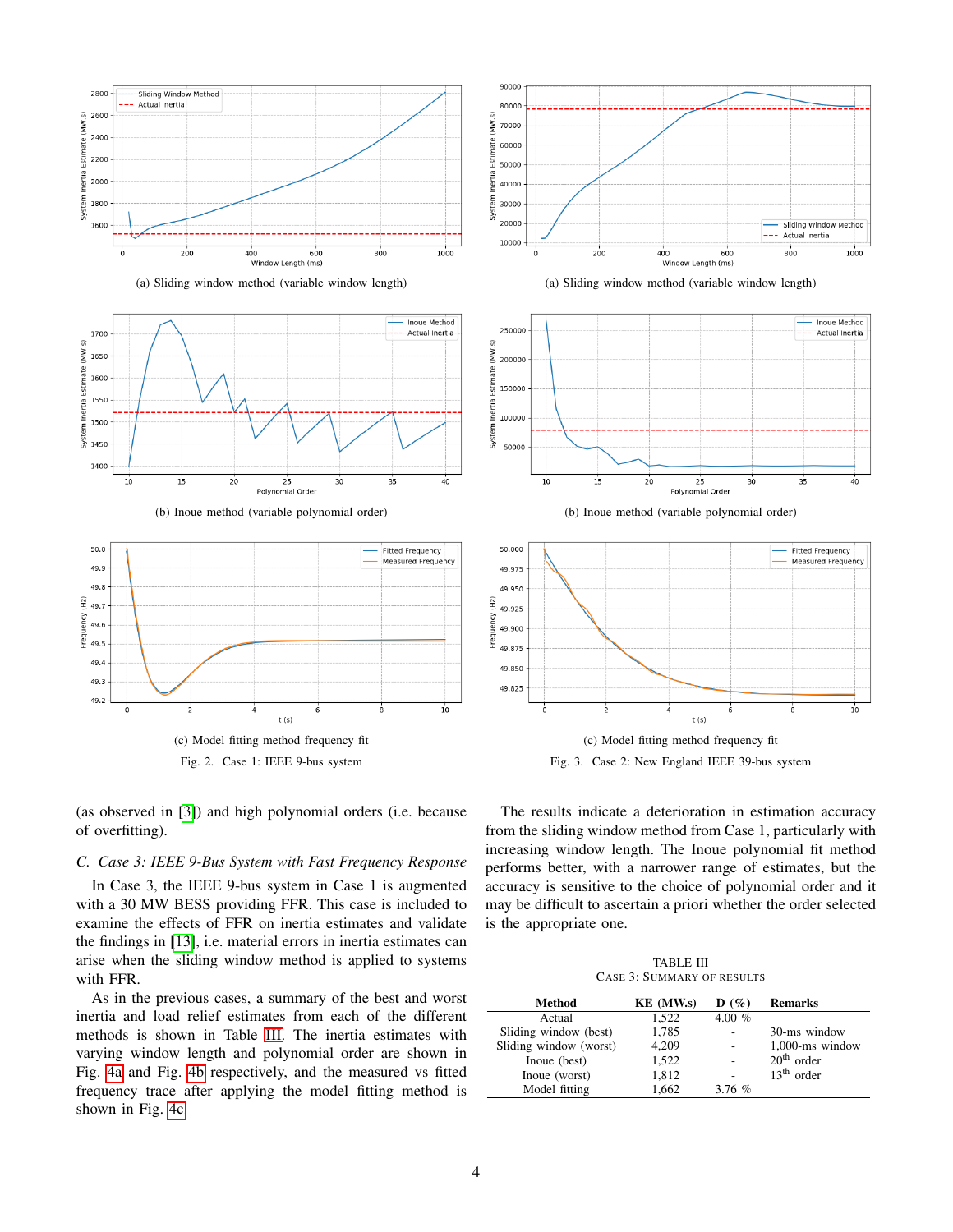<span id="page-3-0"></span>

(a) Sliding window method (variable window length)





<span id="page-3-2"></span><span id="page-3-1"></span>

Fig. 2. Case 1: IEEE 9-bus system



# *C. Case 3: IEEE 9-Bus System with Fast Frequency Response*

In Case 3, the IEEE 9-bus system in Case 1 is augmented with a 30 MW BESS providing FFR. This case is included to examine the effects of FFR on inertia estimates and validate the findings in [\[13\]](#page-7-9), i.e. material errors in inertia estimates can arise when the sliding window method is applied to systems with FFR.

As in the previous cases, a summary of the best and worst inertia and load relief estimates from each of the different methods is shown in Table [III.](#page-3-6) The inertia estimates with varying window length and polynomial order are shown in Fig. [4a](#page-4-0) and Fig. [4b](#page-4-1) respectively, and the measured vs fitted frequency trace after applying the model fitting method is shown in Fig. [4c.](#page-4-2)

<span id="page-3-3"></span>







<span id="page-3-5"></span><span id="page-3-4"></span>

Fig. 3. Case 2: New England IEEE 39-bus system

The results indicate a deterioration in estimation accuracy from the sliding window method from Case 1, particularly with increasing window length. The Inoue polynomial fit method performs better, with a narrower range of estimates, but the accuracy is sensitive to the choice of polynomial order and it may be difficult to ascertain a priori whether the order selected is the appropriate one.

TABLE III CASE 3: SUMMARY OF RESULTS

<span id="page-3-6"></span>

| Method                 | KE (MW.s) | $\mathbf{D}(\%)$ | <b>Remarks</b>     |
|------------------------|-----------|------------------|--------------------|
| Actual                 | 1.522     | 4.00 $%$         |                    |
| Sliding window (best)  | 1,785     |                  | 30-ms window       |
| Sliding window (worst) | 4,209     |                  | $1,000$ -ms window |
| Inoue (best)           | 1.522     |                  | $20th$ order       |
| Inoue (worst)          | 1,812     |                  | $13th$ order       |
| Model fitting          | 1.662     | 3.76%            |                    |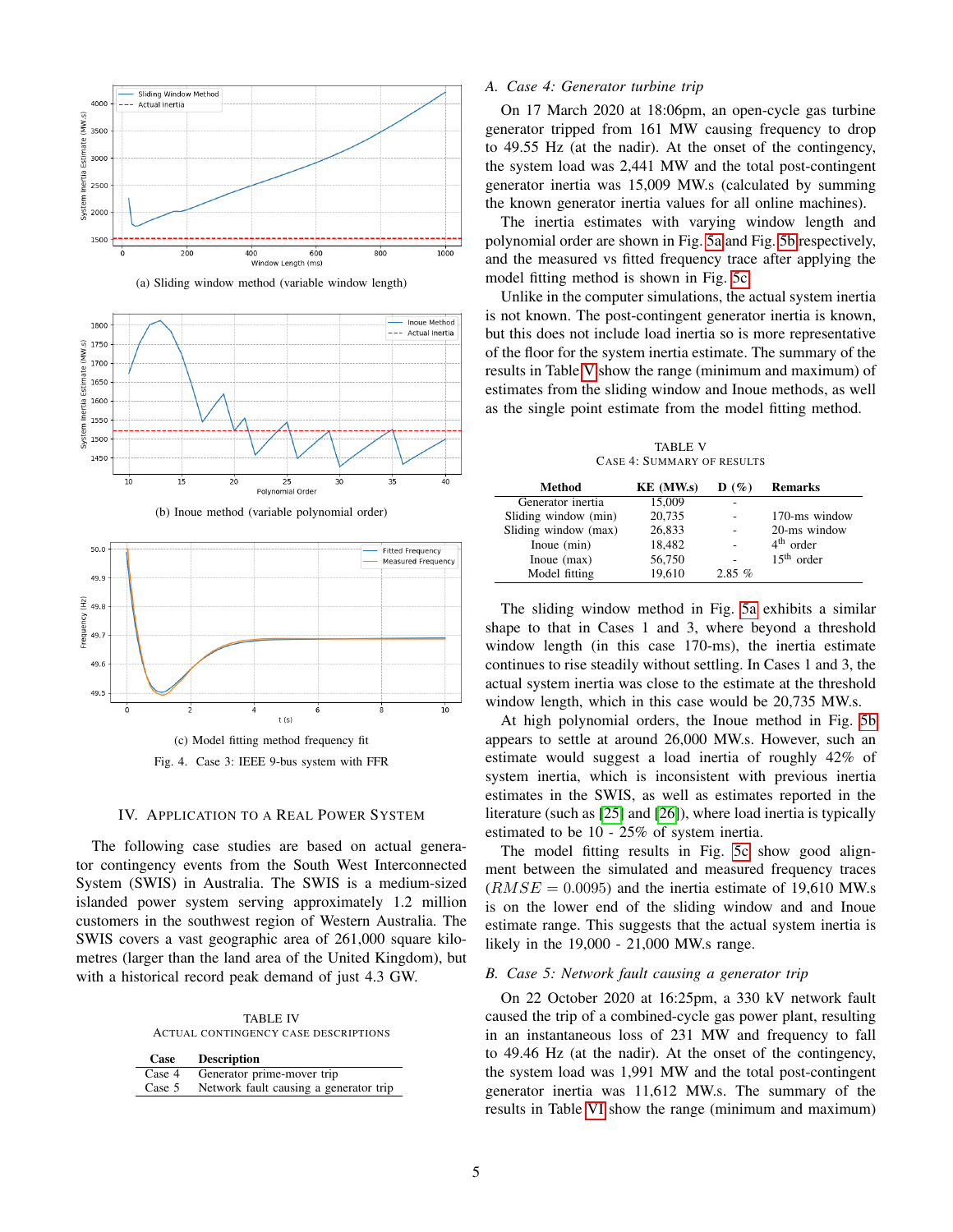<span id="page-4-0"></span>

(a) Sliding window method (variable window length)





<span id="page-4-2"></span><span id="page-4-1"></span>

(c) Model fitting method frequency fit Fig. 4. Case 3: IEEE 9-bus system with FFR

#### IV. APPLICATION TO A REAL POWER SYSTEM

<span id="page-4-4"></span>The following case studies are based on actual generator contingency events from the South West Interconnected System (SWIS) in Australia. The SWIS is a medium-sized islanded power system serving approximately 1.2 million customers in the southwest region of Western Australia. The SWIS covers a vast geographic area of 261,000 square kilometres (larger than the land area of the United Kingdom), but with a historical record peak demand of just 4.3 GW.

TABLE IV ACTUAL CONTINGENCY CASE DESCRIPTIONS

| Case     | <b>Description</b>                     |
|----------|----------------------------------------|
| Case 4   | Generator prime-mover trip             |
| Case $5$ | Network fault causing a generator trip |

## *A. Case 4: Generator turbine trip*

On 17 March 2020 at 18:06pm, an open-cycle gas turbine generator tripped from 161 MW causing frequency to drop to 49.55 Hz (at the nadir). At the onset of the contingency, the system load was 2,441 MW and the total post-contingent generator inertia was 15,009 MW.s (calculated by summing the known generator inertia values for all online machines).

The inertia estimates with varying window length and polynomial order are shown in Fig. [5a](#page-5-0) and Fig. [5b](#page-5-1) respectively, and the measured vs fitted frequency trace after applying the model fitting method is shown in Fig. [5c.](#page-5-2)

Unlike in the computer simulations, the actual system inertia is not known. The post-contingent generator inertia is known, but this does not include load inertia so is more representative of the floor for the system inertia estimate. The summary of the results in Table [V](#page-4-3) show the range (minimum and maximum) of estimates from the sliding window and Inoue methods, as well as the single point estimate from the model fitting method.

TABLE V CASE 4: SUMMARY OF RESULTS

<span id="page-4-3"></span>

| Method               | KE (MW.s) | $\mathbf{D}(\%)$ | <b>Remarks</b> |
|----------------------|-----------|------------------|----------------|
| Generator inertia    | 15,009    |                  |                |
| Sliding window (min) | 20,735    |                  | 170-ms window  |
| Sliding window (max) | 26,833    | ٠                | 20-ms window   |
| Inoue (min)          | 18,482    |                  | $4th$ order    |
| Inoue $(max)$        | 56,750    |                  | $15th$ order   |
| Model fitting        | 19.610    | 2.85%            |                |

The sliding window method in Fig. [5a](#page-5-0) exhibits a similar shape to that in Cases 1 and 3, where beyond a threshold window length (in this case 170-ms), the inertia estimate continues to rise steadily without settling. In Cases 1 and 3, the actual system inertia was close to the estimate at the threshold window length, which in this case would be 20,735 MW.s.

At high polynomial orders, the Inoue method in Fig. [5b](#page-5-1) appears to settle at around 26,000 MW.s. However, such an estimate would suggest a load inertia of roughly 42% of system inertia, which is inconsistent with previous inertia estimates in the SWIS, as well as estimates reported in the literature (such as [\[25\]](#page-7-21) and [\[26\]](#page-7-22)), where load inertia is typically estimated to be 10 - 25% of system inertia.

The model fitting results in Fig. [5c](#page-5-2) show good alignment between the simulated and measured frequency traces  $(RMSE = 0.0095)$  and the inertia estimate of 19,610 MW.s is on the lower end of the sliding window and and Inoue estimate range. This suggests that the actual system inertia is likely in the 19,000 - 21,000 MW.s range.

#### *B. Case 5: Network fault causing a generator trip*

On 22 October 2020 at 16:25pm, a 330 kV network fault caused the trip of a combined-cycle gas power plant, resulting in an instantaneous loss of 231 MW and frequency to fall to 49.46 Hz (at the nadir). At the onset of the contingency, the system load was 1,991 MW and the total post-contingent generator inertia was 11,612 MW.s. The summary of the results in Table [VI](#page-5-3) show the range (minimum and maximum)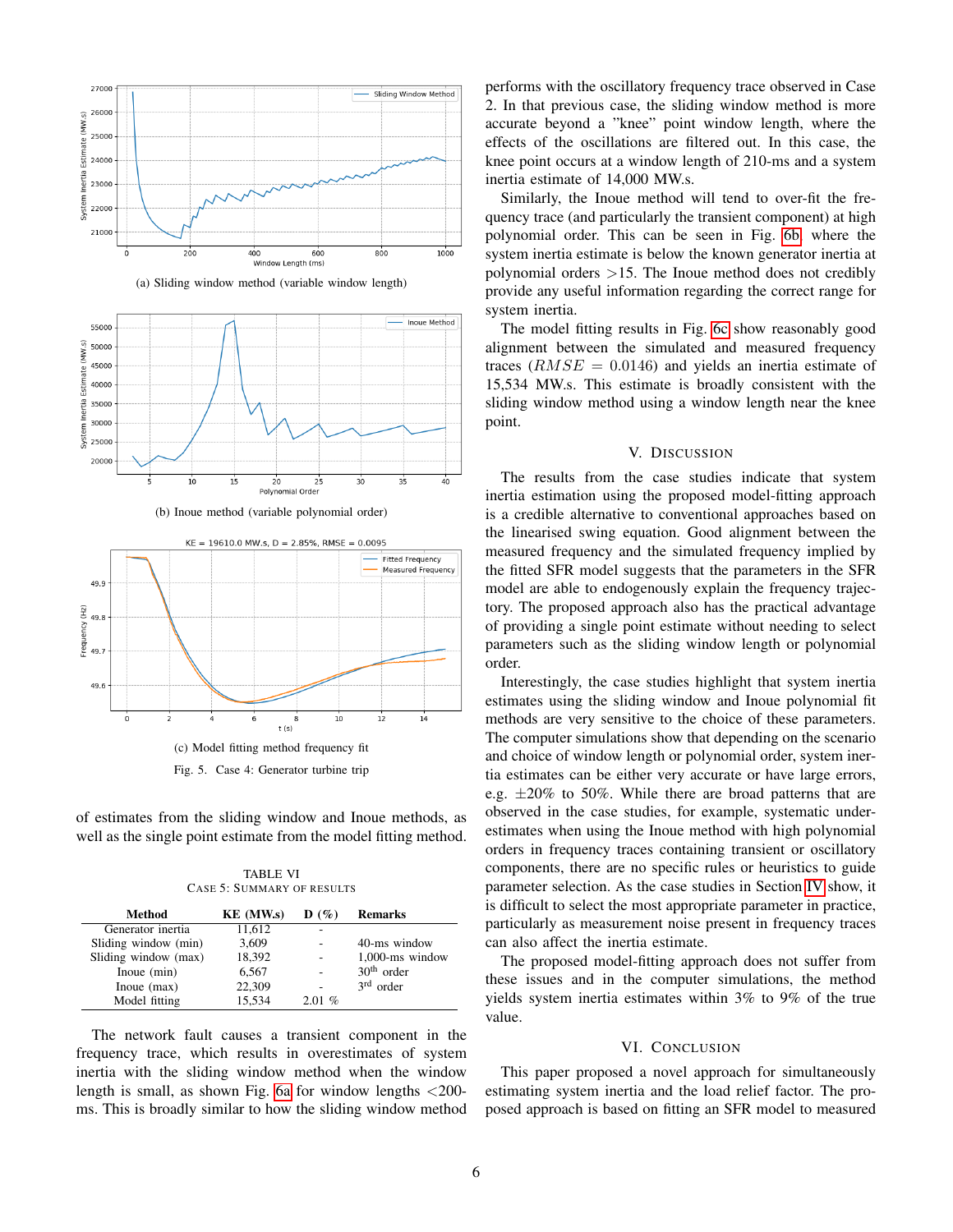<span id="page-5-0"></span>

(a) Sliding window method (variable window length)



(b) Inoue method (variable polynomial order)

<span id="page-5-2"></span><span id="page-5-1"></span>

of estimates from the sliding window and Inoue methods, as well as the single point estimate from the model fitting method.

TABLE VI CASE 5: SUMMARY OF RESULTS

<span id="page-5-3"></span>

| Method               | KE (MW.s) | $\mathbf{D}(\%)$ | <b>Remarks</b>     |
|----------------------|-----------|------------------|--------------------|
| Generator inertia    | 11.612    |                  |                    |
| Sliding window (min) | 3,609     |                  | 40-ms window       |
| Sliding window (max) | 18,392    |                  | $1,000$ -ms window |
| Inoue (min)          | 6,567     |                  | $30th$ order       |
| Inoue $(max)$        | 22,309    |                  | $3rd$ order        |
| Model fitting        | 15,534    | 2.01%            |                    |

The network fault causes a transient component in the frequency trace, which results in overestimates of system inertia with the sliding window method when the window length is small, as shown Fig. [6a](#page-6-3) for window lengths  $\langle 200$ ms. This is broadly similar to how the sliding window method performs with the oscillatory frequency trace observed in Case 2. In that previous case, the sliding window method is more accurate beyond a "knee" point window length, where the effects of the oscillations are filtered out. In this case, the knee point occurs at a window length of 210-ms and a system inertia estimate of 14,000 MW.s.

Similarly, the Inoue method will tend to over-fit the frequency trace (and particularly the transient component) at high polynomial order. This can be seen in Fig. [6b,](#page-6-4) where the system inertia estimate is below the known generator inertia at polynomial orders >15. The Inoue method does not credibly provide any useful information regarding the correct range for system inertia.

The model fitting results in Fig. [6c](#page-6-5) show reasonably good alignment between the simulated and measured frequency traces  $(RMSE = 0.0146)$  and yields an inertia estimate of 15,534 MW.s. This estimate is broadly consistent with the sliding window method using a window length near the knee point.

# V. DISCUSSION

The results from the case studies indicate that system inertia estimation using the proposed model-fitting approach is a credible alternative to conventional approaches based on the linearised swing equation. Good alignment between the measured frequency and the simulated frequency implied by the fitted SFR model suggests that the parameters in the SFR model are able to endogenously explain the frequency trajectory. The proposed approach also has the practical advantage of providing a single point estimate without needing to select parameters such as the sliding window length or polynomial order.

Interestingly, the case studies highlight that system inertia estimates using the sliding window and Inoue polynomial fit methods are very sensitive to the choice of these parameters. The computer simulations show that depending on the scenario and choice of window length or polynomial order, system inertia estimates can be either very accurate or have large errors, e.g.  $\pm 20\%$  to 50%. While there are broad patterns that are observed in the case studies, for example, systematic underestimates when using the Inoue method with high polynomial orders in frequency traces containing transient or oscillatory components, there are no specific rules or heuristics to guide parameter selection. As the case studies in Section [IV](#page-4-4) show, it is difficult to select the most appropriate parameter in practice, particularly as measurement noise present in frequency traces can also affect the inertia estimate.

The proposed model-fitting approach does not suffer from these issues and in the computer simulations, the method yields system inertia estimates within 3% to 9% of the true value.

#### VI. CONCLUSION

This paper proposed a novel approach for simultaneously estimating system inertia and the load relief factor. The proposed approach is based on fitting an SFR model to measured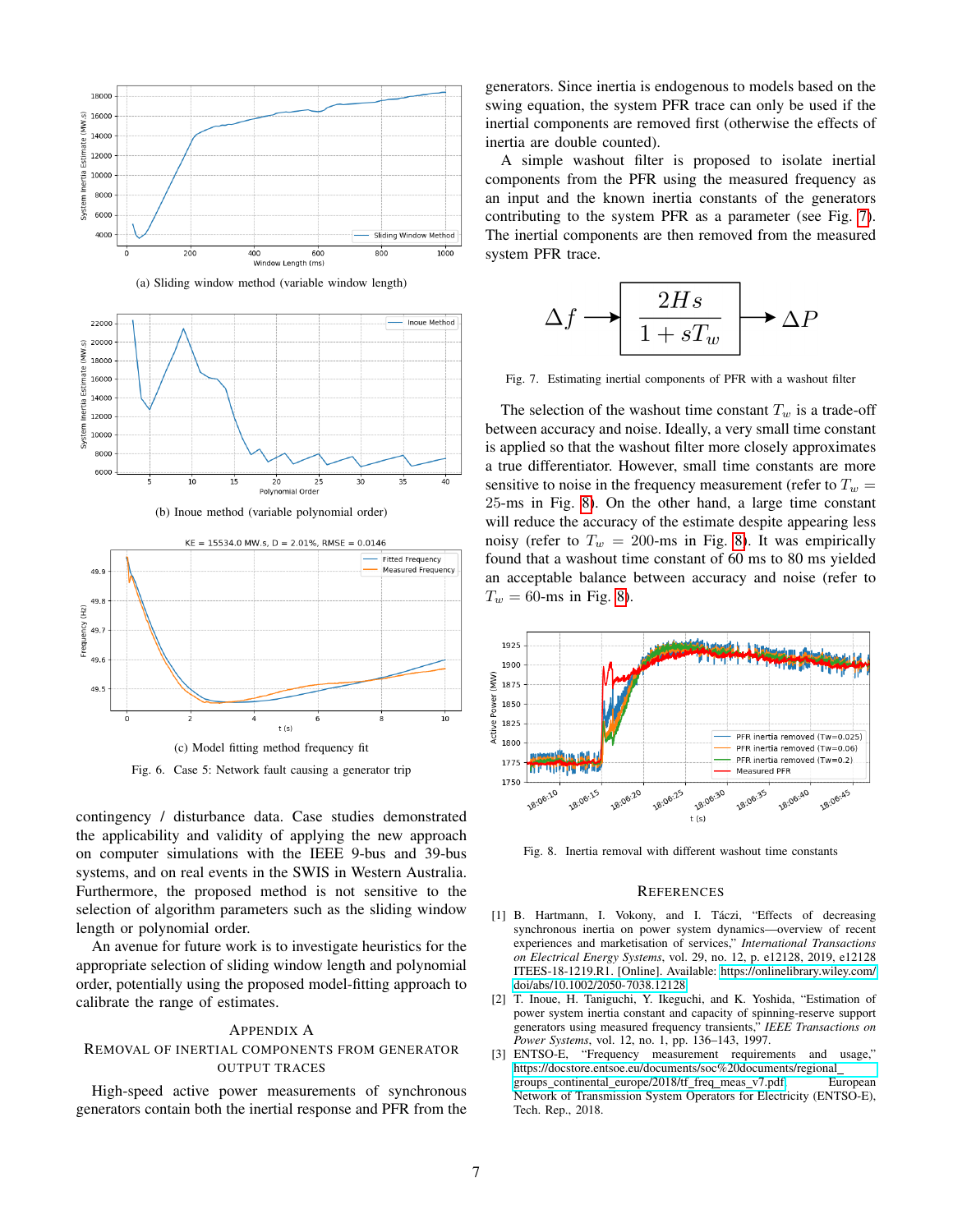<span id="page-6-3"></span>

(a) Sliding window method (variable window length)



(b) Inoue method (variable polynomial order)

<span id="page-6-5"></span><span id="page-6-4"></span>

Fig. 6. Case 5: Network fault causing a generator trip

contingency / disturbance data. Case studies demonstrated the applicability and validity of applying the new approach on computer simulations with the IEEE 9-bus and 39-bus systems, and on real events in the SWIS in Western Australia. Furthermore, the proposed method is not sensitive to the selection of algorithm parameters such as the sliding window length or polynomial order.

An avenue for future work is to investigate heuristics for the appropriate selection of sliding window length and polynomial order, potentially using the proposed model-fitting approach to calibrate the range of estimates.

## APPENDIX A

# REMOVAL OF INERTIAL COMPONENTS FROM GENERATOR OUTPUT TRACES

High-speed active power measurements of synchronous generators contain both the inertial response and PFR from the

generators. Since inertia is endogenous to models based on the swing equation, the system PFR trace can only be used if the inertial components are removed first (otherwise the effects of inertia are double counted).

A simple washout filter is proposed to isolate inertial components from the PFR using the measured frequency as an input and the known inertia constants of the generators contributing to the system PFR as a parameter (see Fig. [7\)](#page-6-6). The inertial components are then removed from the measured system PFR trace.

$$
\Delta f \longrightarrow \boxed{\frac{2Hs}{1+sT_w}} \longrightarrow \Delta P
$$

<span id="page-6-6"></span>Fig. 7. Estimating inertial components of PFR with a washout filter

The selection of the washout time constant  $T_w$  is a trade-off between accuracy and noise. Ideally, a very small time constant is applied so that the washout filter more closely approximates a true differentiator. However, small time constants are more sensitive to noise in the frequency measurement (refer to  $T_w =$ 25-ms in Fig. [8\)](#page-6-7). On the other hand, a large time constant will reduce the accuracy of the estimate despite appearing less noisy (refer to  $T_w = 200$ -ms in Fig. [8\)](#page-6-7). It was empirically found that a washout time constant of 60 ms to 80 ms yielded an acceptable balance between accuracy and noise (refer to  $T_w = 60$ -ms in Fig. [8\)](#page-6-7).



<span id="page-6-7"></span>Fig. 8. Inertia removal with different washout time constants

#### **REFERENCES**

- <span id="page-6-0"></span>[1] B. Hartmann, I. Vokony, and I. Táczi, "Effects of decreasing synchronous inertia on power system dynamics—overview of recent experiences and marketisation of services," *International Transactions on Electrical Energy Systems*, vol. 29, no. 12, p. e12128, 2019, e12128 ITEES-18-1219.R1. [Online]. Available: [https://onlinelibrary.wiley.com/](https://onlinelibrary.wiley.com/doi/abs/10.1002/2050-7038.12128) [doi/abs/10.1002/2050-7038.12128](https://onlinelibrary.wiley.com/doi/abs/10.1002/2050-7038.12128)
- <span id="page-6-1"></span>[2] T. Inoue, H. Taniguchi, Y. Ikeguchi, and K. Yoshida, "Estimation of power system inertia constant and capacity of spinning-reserve support generators using measured frequency transients," *IEEE Transactions on Power Systems*, vol. 12, no. 1, pp. 136–143, 1997.
- <span id="page-6-2"></span>[3] ENTSO-E, "Frequency measurement requirements and usage," [https://docstore.entsoe.eu/documents/soc%20documents/regional](https://docstore.entsoe.eu/documents/soc%20documents/regional_groups_continental_europe/2018/tf_freq_meas_v7.pdf) groups\_continental\_[europe/2018/tf](https://docstore.entsoe.eu/documents/soc%20documents/regional_groups_continental_europe/2018/tf_freq_meas_v7.pdf)\_freq\_meas\_v7.pdf, European Network of Transmission System Operators for Electricity (ENTSO-E), Tech. Rep., 2018.